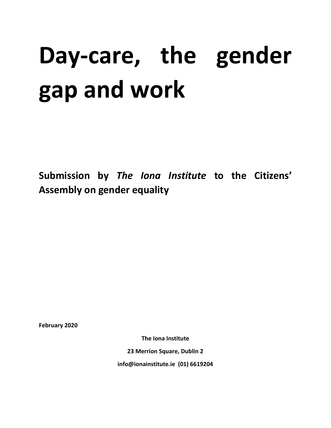# **Day-care, the gender gap and work**

**Submission by** *The Iona Institute* **to the Citizens' Assembly on gender equality**

**February 2020**

**The Iona Institute**

**23 Merrion Square, Dublin 2**

**info@ionainstitute.ie (01) 6619204**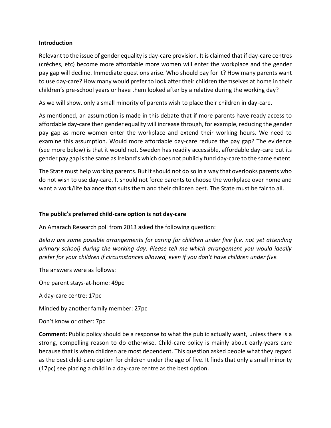# **Introduction**

Relevant to the issue of gender equality is day-care provision. It is claimed that if day-care centres (crèches, etc) become more affordable more women will enter the workplace and the gender pay gap will decline. Immediate questions arise. Who should pay for it? How many parents want to use day-care? How many would prefer to look after their children themselves at home in their children's pre-school years or have them looked after by a relative during the working day?

As we will show, only a small minority of parents wish to place their children in day-care.

As mentioned, an assumption is made in this debate that if more parents have ready access to affordable day-care then gender equality will increase through, for example, reducing the gender pay gap as more women enter the workplace and extend their working hours. We need to examine this assumption. Would more affordable day-care reduce the pay gap? The evidence (see more below) is that it would not. Sweden has readily accessible, affordable day-care but its gender pay gap is the same as Ireland's which does not publicly fund day-care to the same extent.

The State must help working parents. But it should not do so in a way that overlooks parents who do not wish to use day-care. It should not force parents to choose the workplace over home and want a work/life balance that suits them and their children best. The State must be fair to all.

# **The public's preferred child-care option is not day-care**

An Amarach Research poll from 2013 asked the following question:

*Below are some possible arrangements for caring for children under five (i.e. not yet attending primary school) during the working day. Please tell me which arrangement you would ideally prefer for your children if circumstances allowed, even if you don't have children under five.* 

The answers were as follows:

One parent stays-at-home: 49pc

A day-care centre: 17pc

Minded by another family member: 27pc

Don't know or other: 7pc

**Comment:** Public policy should be a response to what the public actually want, unless there is a strong, compelling reason to do otherwise. Child-care policy is mainly about early-years care because that is when children are most dependent. This question asked people what they regard as the best child-care option for children under the age of five. It finds that only a small minority (17pc) see placing a child in a day-care centre as the best option.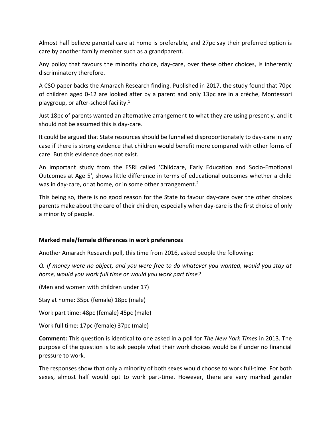Almost half believe parental care at home is preferable, and 27pc say their preferred option is care by another family member such as a grandparent.

Any policy that favours the minority choice, day-care, over these other choices, is inherently discriminatory therefore.

A CSO paper backs the Amarach Research finding. Published in 2017, the study found that 70pc of children aged 0-12 are looked after by a parent and only 13pc are in a crèche, Montessori playgroup, or after-school facility.<sup>1</sup>

Just 18pc of parents wanted an alternative arrangement to what they are using presently, and it should not be assumed this is day-care.

It could be argued that State resources should be funnelled disproportionately to day-care in any case if there is strong evidence that children would benefit more compared with other forms of care. But this evidence does not exist.

An important study from the ESRI called 'Childcare, Early Education and Socio-Emotional Outcomes at Age 5', shows little difference in terms of educational outcomes whether a child was in day-care, or at home, or in some other arrangement.<sup>2</sup>

This being so, there is no good reason for the State to favour day-care over the other choices parents make about the care of their children, especially when day-care is the first choice of only a minority of people.

# **Marked male/female differences in work preferences**

Another Amarach Research poll, this time from 2016, asked people the following:

*Q. If money were no object, and you were free to do whatever you wanted, would you stay at home, would you work full time or would you work part time?*

(Men and women with children under 17)

Stay at home: 35pc (female) 18pc (male)

Work part time: 48pc (female) 45pc (male)

Work full time: 17pc (female) 37pc (male)

**Comment:** This question is identical to one asked in a poll for *The New York Times* in 2013. The purpose of the question is to ask people what their work choices would be if under no financial pressure to work.

The responses show that only a minority of both sexes would choose to work full-time. For both sexes, almost half would opt to work part-time. However, there are very marked gender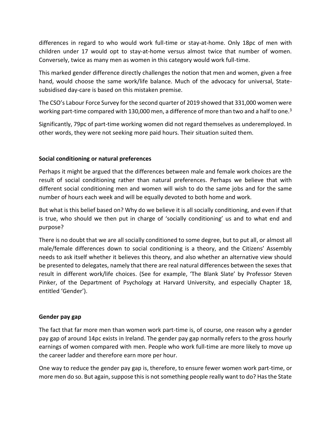differences in regard to who would work full-time or stay-at-home. Only 18pc of men with children under 17 would opt to stay-at-home versus almost twice that number of women. Conversely, twice as many men as women in this category would work full-time.

This marked gender difference directly challenges the notion that men and women, given a free hand, would choose the same work/life balance. Much of the advocacy for universal, Statesubsidised day-care is based on this mistaken premise.

The CSO's Labour Force Survey for the second quarter of 2019 showed that 331,000 women were working part-time compared with 130,000 men, a difference of more than two and a half to one.<sup>3</sup>

Significantly, 79pc of part-time working women did not regard themselves as underemployed. In other words, they were not seeking more paid hours. Their situation suited them.

# **Social conditioning or natural preferences**

Perhaps it might be argued that the differences between male and female work choices are the result of social conditioning rather than natural preferences. Perhaps we believe that with different social conditioning men and women will wish to do the same jobs and for the same number of hours each week and will be equally devoted to both home and work.

But what is this belief based on? Why do we believe it is all socially conditioning, and even if that is true, who should we then put in charge of 'socially conditioning' us and to what end and purpose?

There is no doubt that we are all socially conditioned to some degree, but to put all, or almost all male/female differences down to social conditioning is a theory, and the Citizens' Assembly needs to ask itself whether it believes this theory, and also whether an alternative view should be presented to delegates, namely that there are real natural differences between the sexes that result in different work/life choices. (See for example, 'The Blank Slate' by Professor Steven Pinker, of the Department of Psychology at Harvard University, and especially Chapter 18, entitled 'Gender').

# **Gender pay gap**

The fact that far more men than women work part-time is, of course, one reason why a gender pay gap of around 14pc exists in Ireland. The gender pay gap normally refers to the gross hourly earnings of women compared with men. People who work full-time are more likely to move up the career ladder and therefore earn more per hour.

One way to reduce the gender pay gap is, therefore, to ensure fewer women work part-time, or more men do so. But again, suppose this is not something people really want to do? Has the State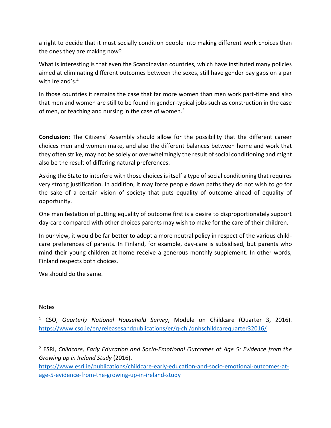a right to decide that it must socially condition people into making different work choices than the ones they are making now?

What is interesting is that even the Scandinavian countries, which have instituted many policies aimed at eliminating different outcomes between the sexes, still have gender pay gaps on a par with Ireland's.<sup>4</sup>

In those countries it remains the case that far more women than men work part-time and also that men and women are still to be found in gender-typical jobs such as construction in the case of men, or teaching and nursing in the case of women.<sup>5</sup>

**Conclusion:** The Citizens' Assembly should allow for the possibility that the different career choices men and women make, and also the different balances between home and work that they often strike, may not be solely or overwhelmingly the result of social conditioning and might also be the result of differing natural preferences.

Asking the State to interfere with those choices is itself a type of social conditioning that requires very strong justification. In addition, it may force people down paths they do not wish to go for the sake of a certain vision of society that puts equality of outcome ahead of equality of opportunity.

One manifestation of putting equality of outcome first is a desire to disproportionately support day-care compared with other choices parents may wish to make for the care of their children.

In our view, it would be far better to adopt a more neutral policy in respect of the various childcare preferences of parents. In Finland, for example, day-care is subsidised, but parents who mind their young children at home receive a generous monthly supplement. In other words, Finland respects both choices.

We should do the same.

# Notes

 $\overline{\phantom{a}}$ 

<sup>2</sup> ESRI, *Childcare, Early Education and Socio-Emotional Outcomes at Age 5: Evidence from the Growing up in Ireland Study* (2016).

[https://www.esri.ie/publications/childcare-early-education-and-socio-emotional-outcomes-at](https://www.esri.ie/publications/childcare-early-education-and-socio-emotional-outcomes-at-age-5-evidence-from-the-growing-up-in-ireland-study)[age-5-evidence-from-the-growing-up-in-ireland-study](https://www.esri.ie/publications/childcare-early-education-and-socio-emotional-outcomes-at-age-5-evidence-from-the-growing-up-in-ireland-study)

<sup>1</sup> CSO, *Quarterly National Household Survey*, Module on Childcare (Quarter 3, 2016). <https://www.cso.ie/en/releasesandpublications/er/q-chi/qnhschildcarequarter32016/>